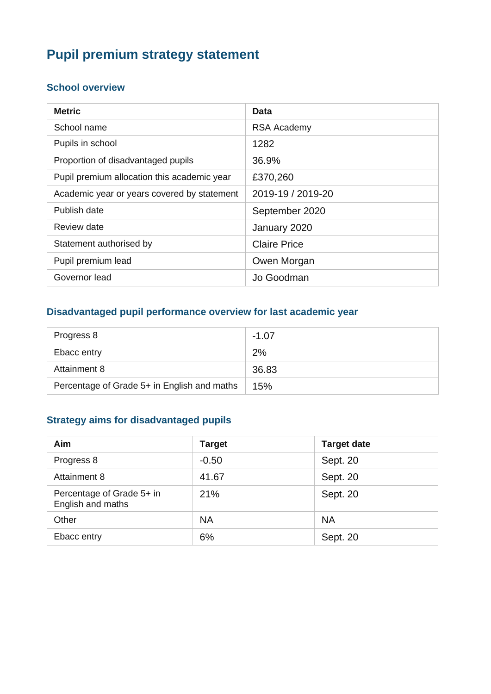# **Pupil premium strategy statement**

#### **School overview**

| <b>Metric</b>                               | Data                |
|---------------------------------------------|---------------------|
| School name                                 | <b>RSA Academy</b>  |
| Pupils in school                            | 1282                |
| Proportion of disadvantaged pupils          | 36.9%               |
| Pupil premium allocation this academic year | £370,260            |
| Academic year or years covered by statement | 2019-19 / 2019-20   |
| Publish date                                | September 2020      |
| Review date                                 | January 2020        |
| Statement authorised by                     | <b>Claire Price</b> |
| Pupil premium lead                          | Owen Morgan         |
| Governor lead                               | Jo Goodman          |

## **Disadvantaged pupil performance overview for last academic year**

| Progress 8                                  | $-1.07$ |
|---------------------------------------------|---------|
| Ebacc entry                                 | 2%      |
| Attainment 8                                | 36.83   |
| Percentage of Grade 5+ in English and maths | 15%     |

## **Strategy aims for disadvantaged pupils**

| Aim                                            | <b>Target</b> | <b>Target date</b> |
|------------------------------------------------|---------------|--------------------|
| Progress 8                                     | $-0.50$       | Sept. 20           |
| Attainment 8                                   | 41.67         | Sept. 20           |
| Percentage of Grade 5+ in<br>English and maths | 21%           | Sept. 20           |
| Other                                          | <b>NA</b>     | <b>NA</b>          |
| Ebacc entry                                    | 6%            | Sept. 20           |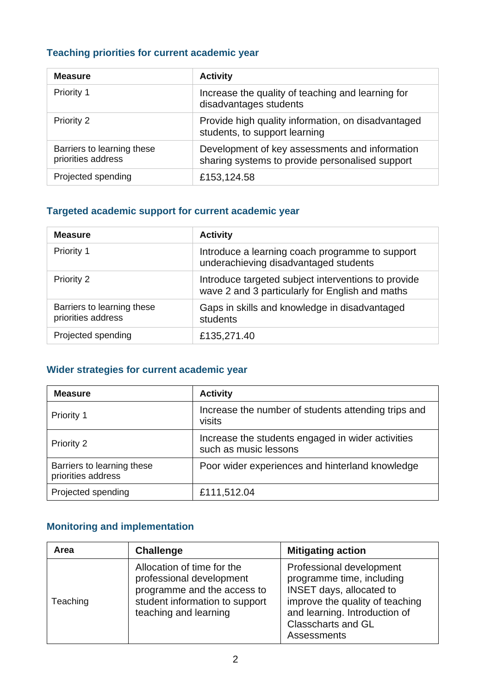## **Teaching priorities for current academic year**

| <b>Measure</b>                                   | <b>Activity</b>                                                                                   |
|--------------------------------------------------|---------------------------------------------------------------------------------------------------|
| Priority 1                                       | Increase the quality of teaching and learning for<br>disadvantages students                       |
| Priority 2                                       | Provide high quality information, on disadvantaged<br>students, to support learning               |
| Barriers to learning these<br>priorities address | Development of key assessments and information<br>sharing systems to provide personalised support |
| Projected spending                               | £153,124.58                                                                                       |

#### **Targeted academic support for current academic year**

| <b>Measure</b>                                   | <b>Activity</b>                                                                                        |
|--------------------------------------------------|--------------------------------------------------------------------------------------------------------|
| <b>Priority 1</b>                                | Introduce a learning coach programme to support<br>underachieving disadvantaged students               |
| Priority 2                                       | Introduce targeted subject interventions to provide<br>wave 2 and 3 particularly for English and maths |
| Barriers to learning these<br>priorities address | Gaps in skills and knowledge in disadvantaged<br>students                                              |
| Projected spending                               | £135,271.40                                                                                            |

## **Wider strategies for current academic year**

| <b>Measure</b>                                   | <b>Activity</b>                                                            |
|--------------------------------------------------|----------------------------------------------------------------------------|
| Priority 1                                       | Increase the number of students attending trips and<br>visits              |
| Priority 2                                       | Increase the students engaged in wider activities<br>such as music lessons |
| Barriers to learning these<br>priorities address | Poor wider experiences and hinterland knowledge                            |
| Projected spending                               | £111,512.04                                                                |

## **Monitoring and implementation**

| Area     | <b>Challenge</b>                                                                                                                                 | <b>Mitigating action</b>                                                                                                                                                                                 |
|----------|--------------------------------------------------------------------------------------------------------------------------------------------------|----------------------------------------------------------------------------------------------------------------------------------------------------------------------------------------------------------|
| Teaching | Allocation of time for the<br>professional development<br>programme and the access to<br>student information to support<br>teaching and learning | Professional development<br>programme time, including<br><b>INSET days, allocated to</b><br>improve the quality of teaching<br>and learning. Introduction of<br><b>Classcharts and GL</b><br>Assessments |